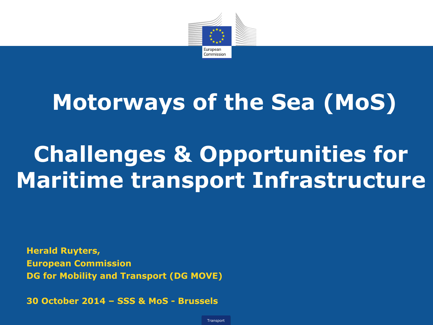

## **Motorways of the Sea (MoS)**

# **Challenges & Opportunities for Maritime transport Infrastructure**

**Herald Ruyters, European Commission DG for Mobility and Transport (DG MOVE)**

**30 October 2014 – SSS & MoS - Brussels**

**Transport**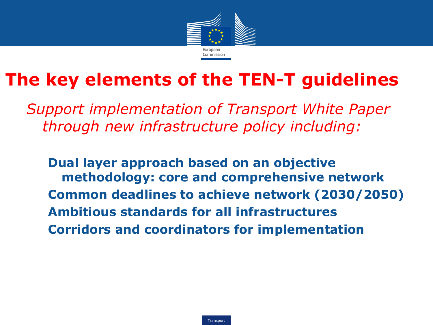

## **The key elements of the TEN-T guidelines**

*Support implementation of Transport White Paper through new infrastructure policy including:*

**Dual layer approach based on an objective methodology: core and comprehensive network Common deadlines to achieve network (2030/2050) Ambitious standards for all infrastructures Corridors and coordinators for implementation**

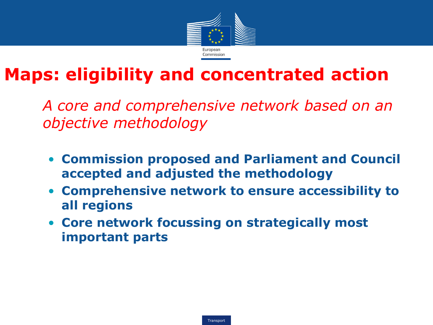

## **Maps: eligibility and concentrated action**

• *A core and comprehensive network based on an objective methodology*

- **Commission proposed and Parliament and Council accepted and adjusted the methodology**
- **Comprehensive network to ensure accessibility to all regions**
- **Core network focussing on strategically most important parts**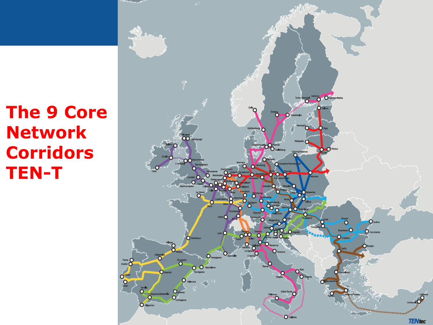## **The 9 Core Network Corridors TEN-T**

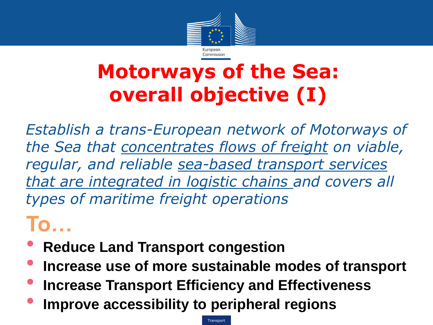

## **Motorways of the Sea: overall objective (I)**

*Establish a trans-European network of Motorways of the Sea that concentrates flows of freight on viable, regular, and reliable sea-based transport services that are integrated in logistic chains and covers all types of maritime freight operations*

## **To…**

- **Reduce Land Transport congestion**
- **Increase use of more sustainable modes of transport**
- **Increase Transport Efficiency and Effectiveness**
- **Improve accessibility to peripheral regions**

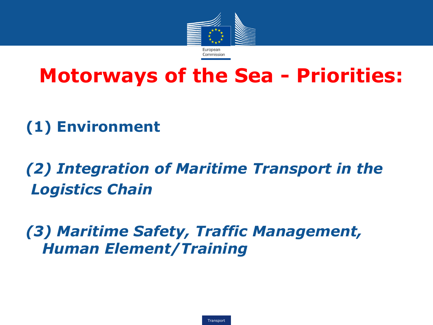

## **Motorways of the Sea - Priorities:**

### **(1) Environment**

### *(2) Integration of Maritime Transport in the Logistics Chain*

#### *(3) Maritime Safety, Traffic Management, Human Element/Training*

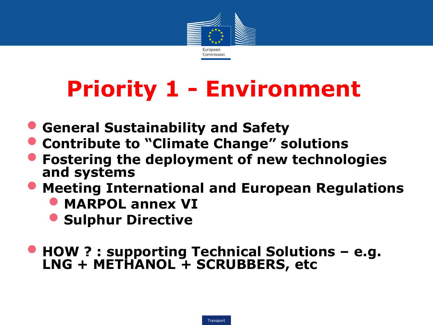

# **Priority 1 - Environment**

- **General Sustainability and Safety**
- **Contribute to "Climate Change" solutions**
- **Fostering the deployment of new technologies and systems**
- **Meeting International and European Regulations**
	- **MARPOL annex VI**
	- **Sulphur Directive**
- **HOW ? : supporting Technical Solutions – e.g. LNG + METHANOL + SCRUBBERS, etc**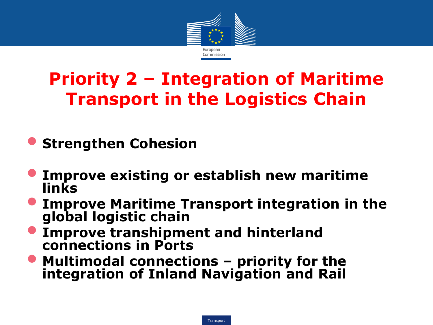

## **Priority 2 – Integration of Maritime Transport in the Logistics Chain**

- **Strengthen Cohesion**
- **Improve existing or establish new maritime links**
- **Improve Maritime Transport integration in the global logistic chain**
- **Improve transhipment and hinterland connections in Ports**
- **Multimodal connections – priority for the integration of Inland Navigation and Rail**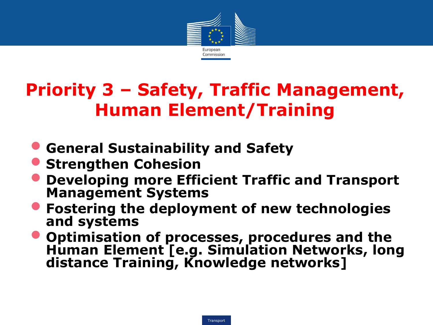

## **Priority 3 – Safety, Traffic Management, Human Element/Training**

- **General Sustainability and Safety**
- **Strengthen Cohesion**
- **Developing more Efficient Traffic and Transport Management Systems**
- **Fostering the deployment of new technologies and systems**
- **Optimisation of processes, procedures and the Human Element [e.g. Simulation Networks, long distance Training, Knowledge networks]**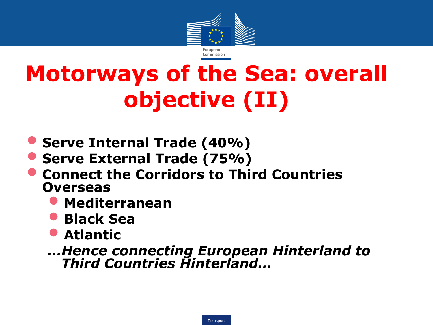

# **Motorways of the Sea: overall objective (II)**

- **Serve Internal Trade (40%)**
- **Serve External Trade (75%)**
- **Connect the Corridors to Third Countries Overseas**
	- **Mediterranean**
	- **Black Sea**
	- **Atlantic**

*…Hence connecting European Hinterland to Third Countries Hinterland…*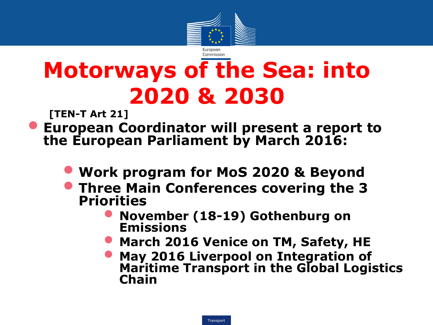

# **Motorways of the Sea: into 2020 & 2030**

**[TEN-T Art 21]**

- **European Coordinator will present a report to the European Parliament by March 2016:**
	- **Work program for MoS 2020 & Beyond**
	- **Three Main Conferences covering the 3 Priorities**
		- **November (18-19) Gothenburg on Emissions**
		- **March 2016 Venice on TM, Safety, HE**
		- **May 2016 Liverpool on Integration of Maritime Transport in the Global Logistics Chain**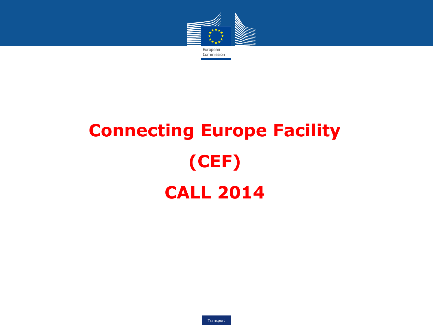

# **Connecting Europe Facility (CEF) CALL 2014**

Transport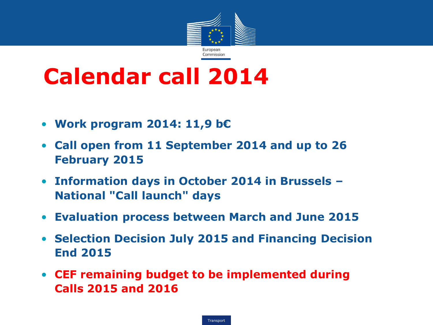

## **Calendar call 2014**

- **Work program 2014: 11,9 b€**
- **Call open from 11 September 2014 and up to 26 February 2015**
- **Information days in October 2014 in Brussels – National "Call launch" days**
- **Evaluation process between March and June 2015**
- **Selection Decision July 2015 and Financing Decision End 2015**
- **CEF remaining budget to be implemented during Calls 2015 and 2016**